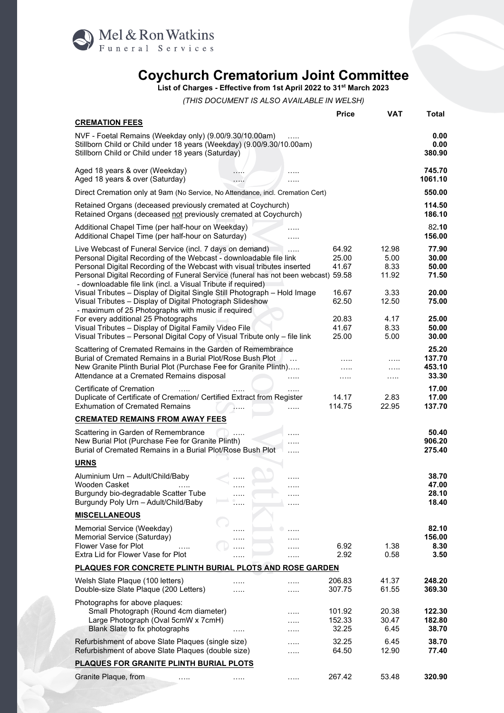

## **Coychurch Crematorium Joint Committee**

**List of Charges - Effective from 1st April 2022 to 31 st March 2023**

*(THIS DOCUMENT IS ALSO AVAILABLE IN WELSH)*

|                                                                                                                                                                                                                                                                                                                                                                              | <b>Price</b>              | <b>VAT</b>                     | Total                              |
|------------------------------------------------------------------------------------------------------------------------------------------------------------------------------------------------------------------------------------------------------------------------------------------------------------------------------------------------------------------------------|---------------------------|--------------------------------|------------------------------------|
| <b>CREMATION FEES</b>                                                                                                                                                                                                                                                                                                                                                        |                           |                                |                                    |
| NVF - Foetal Remains (Weekday only) (9.00/9.30/10.00am)<br>Stillborn Child or Child under 18 years (Weekday) (9.00/9.30/10.00am)<br>Stillborn Child or Child under 18 years (Saturday)                                                                                                                                                                                       |                           |                                | 0.00<br>0.00<br>380.90             |
| Aged 18 years & over (Weekday)<br>.<br>Aged 18 years & over (Saturday)<br>.                                                                                                                                                                                                                                                                                                  |                           |                                | 745.70<br>1061.10                  |
| Direct Cremation only at 9am (No Service, No Attendance, incl. Cremation Cert)                                                                                                                                                                                                                                                                                               |                           |                                | 550.00                             |
| Retained Organs (deceased previously cremated at Coychurch)<br>Retained Organs (deceased not previously cremated at Coychurch)                                                                                                                                                                                                                                               |                           |                                | 114.50<br>186.10                   |
| Additional Chapel Time (per half-hour on Weekday)<br>Additional Chapel Time (per half-hour on Saturday)<br>.                                                                                                                                                                                                                                                                 |                           |                                | 82.10<br>156.00                    |
| Live Webcast of Funeral Service (incl. 7 days on demand)<br>$\cdots$<br>Personal Digital Recording of the Webcast - downloadable file link<br>Personal Digital Recording of the Webcast with visual tributes inserted<br>Personal Digital Recording of Funeral Service (funeral has not been webcast) 59.58<br>- downloadable file link (incl. a Visual Tribute if required) | 64.92<br>25.00<br>41.67   | 12.98<br>5.00<br>8.33<br>11.92 | 77.90<br>30.00<br>50.00<br>71.50   |
| Visual Tributes - Display of Digital Single Still Photograph - Hold Image<br>Visual Tributes - Display of Digital Photograph Slideshow<br>- maximum of 25 Photographs with music if required                                                                                                                                                                                 | 16.67<br>62.50            | 3.33<br>12.50                  | 20.00<br>75.00                     |
| For every additional 25 Photographs                                                                                                                                                                                                                                                                                                                                          | 20.83                     | 4.17                           | 25.00                              |
| Visual Tributes - Display of Digital Family Video File                                                                                                                                                                                                                                                                                                                       | 41.67                     | 8.33                           | 50.00                              |
| Visual Tributes - Personal Digital Copy of Visual Tribute only - file link                                                                                                                                                                                                                                                                                                   | 25.00                     | 5.00                           | 30.00                              |
| Scattering of Cremated Remains in the Garden of Remembrance<br>Burial of Cremated Remains in a Burial Plot/Rose Bush Plot<br>New Granite Plinth Burial Plot (Purchase Fee for Granite Plinth)<br>Attendance at a Cremated Remains disposal                                                                                                                                   | .                         | .<br>.                         | 25.20<br>137.70<br>453.10<br>33.30 |
|                                                                                                                                                                                                                                                                                                                                                                              | .                         | .                              |                                    |
| Certificate of Cremation<br>Duplicate of Certificate of Cremation/ Certified Extract from Register<br><b>Exhumation of Cremated Remains</b><br>.                                                                                                                                                                                                                             | 14.17<br>114.75           | 2.83<br>22.95                  | 17.00<br>17.00<br>137.70           |
| <u>CREMATED REMAINS FROM AWAY FEES</u>                                                                                                                                                                                                                                                                                                                                       |                           |                                |                                    |
| Scattering in Garden of Remembrance<br>.<br>.<br>New Burial Plot (Purchase Fee for Granite Plinth)<br>.<br>Burial of Cremated Remains in a Burial Plot/Rose Bush Plot<br>                                                                                                                                                                                                    |                           |                                | 50.40<br>906.20<br>275.40          |
| <b>URNS</b>                                                                                                                                                                                                                                                                                                                                                                  |                           |                                |                                    |
| Aluminium Urn - Adult/Child/Baby<br>Wooden Casket<br>Burgundy bio-degradable Scatter Tube<br>.<br>.<br>$\bullet$<br>Burgundy Poly Urn - Adult/Child/Baby<br>$\cdots$                                                                                                                                                                                                         |                           |                                | 38.70<br>47.00<br>28.10<br>18.40   |
| <b>MISCELLANEOUS</b>                                                                                                                                                                                                                                                                                                                                                         |                           |                                |                                    |
| Memorial Service (Weekday)<br>.<br>Memorial Service (Saturday)<br>Flower Vase for Plot<br>.<br>.<br>Extra Lid for Flower Vase for Plot<br>.                                                                                                                                                                                                                                  | 6.92<br>2.92              | 1.38<br>0.58                   | 82.10<br>156.00<br>8.30<br>3.50    |
| PLAQUES FOR CONCRETE PLINTH BURIAL PLOTS AND ROSE GARDEN                                                                                                                                                                                                                                                                                                                     |                           |                                |                                    |
| Welsh Slate Plaque (100 letters)<br>.<br>.<br>Double-size Slate Plaque (200 Letters)<br>.<br>.                                                                                                                                                                                                                                                                               | 206.83<br>307.75          | 41.37<br>61.55                 | 248.20<br>369.30                   |
| Photographs for above plaques:<br>Small Photograph (Round 4cm diameter)<br>.<br>Large Photograph (Oval 5cmW x 7cmH)<br>.<br>Blank Slate to fix photographs<br>.                                                                                                                                                                                                              | 101.92<br>152.33<br>32.25 | 20.38<br>30.47<br>6.45         | 122.30<br>182.80<br>38.70          |
| Refurbishment of above Slate Plaques (single size)<br>.<br>Refurbishment of above Slate Plaques (double size)<br>.                                                                                                                                                                                                                                                           | 32.25<br>64.50            | 6.45<br>12.90                  | 38.70<br>77.40                     |
| PLAQUES FOR GRANITE PLINTH BURIAL PLOTS                                                                                                                                                                                                                                                                                                                                      |                           |                                |                                    |
| Granite Plaque, from                                                                                                                                                                                                                                                                                                                                                         | 267.42                    | 53.48                          | 320.90                             |